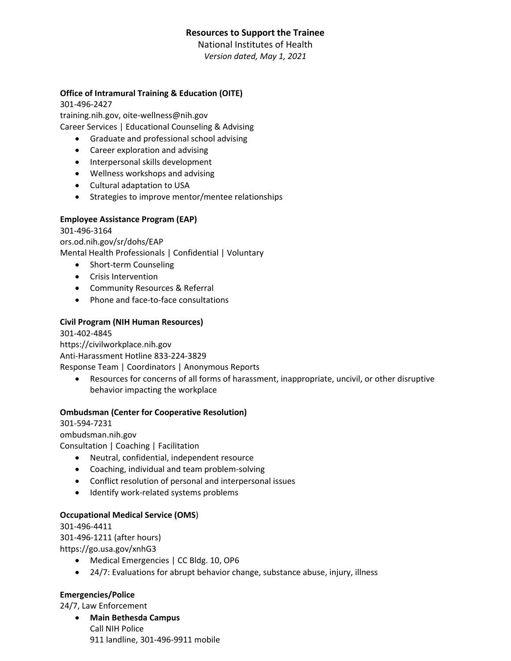# **Resources to Support the Trainee**

National Institutes of Health *Version dated, May 1, 2021*

### **Office of Intramural Training & Education (OITE)**

301-496-2427 training.nih.gov, oite-wellness@nih.gov Career Services | Educational Counseling & Advising

- Graduate and professional school advising
- Career exploration and advising
- Interpersonal skills development
- Wellness workshops and advising
- Cultural adaptation to USA
- Strategies to improve mentor/mentee relationships

### **Employee Assistance Program (EAP)**

301-496-3164

ors.od.nih.gov/sr/dohs/EAP Mental Health Professionals | Confidential | Voluntary

- Short-term Counseling
- Crisis Intervention
- Community Resources & Referral
- Phone and face-to-face consultations

## **Civil Program (NIH Human Resources)**

301-402-4845

https://civilworkplace.nih.gov

Anti-Harassment Hotline 833-224-3829

Response Team | Coordinators | Anonymous Reports

• Resources for concerns of all forms of harassment, inappropriate, uncivil, or other disruptive behavior impacting the workplace

### **Ombudsman (Center for Cooperative Resolution)**

301-594-7231

ombudsman.nih.gov Consultation | Coaching | Facilitation

- Neutral, confidential, independent resource
- Coaching, individual and team problem-solving
- Conflict resolution of personal and interpersonal issues
- Identify work-related systems problems

### **Occupational Medical Service (OMS**)

301-496-4411 301-496-1211 (after hours) https://go.usa.gov/xnhG3

- Medical Emergencies | CC Bldg. 10, OP6
- 24/7: Evaluations for abrupt behavior change, substance abuse, injury, illness

### **Emergencies/Police**

24/7, Law Enforcement

• **Main Bethesda Campus** Call NIH Police 911 landline, 301-496-9911 mobile